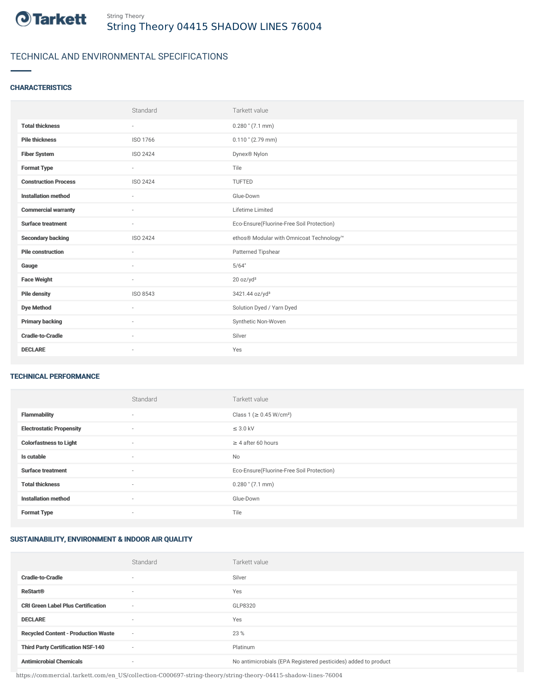

# TECHNICAL AND ENVIRONMENTAL SPECIFICATIONS

# **CHARACTERISTICS**

|                             | Standard                 | Tarkett value                             |
|-----------------------------|--------------------------|-------------------------------------------|
| <b>Total thickness</b>      | $\sim$                   | $0.280$ " (7.1 mm)                        |
| <b>Pile thickness</b>       | ISO 1766                 | $0.110$ " (2.79 mm)                       |
| <b>Fiber System</b>         | ISO 2424                 | Dynex <sup>®</sup> Nylon                  |
| <b>Format Type</b>          | $\sim$                   | Tile                                      |
| <b>Construction Process</b> | <b>ISO 2424</b>          | <b>TUFTED</b>                             |
| <b>Installation method</b>  | $\overline{\phantom{a}}$ | Glue-Down                                 |
| <b>Commercial warranty</b>  |                          | Lifetime Limited                          |
| <b>Surface treatment</b>    | $\sim$                   | Eco-Ensure(Fluorine-Free Soil Protection) |
| <b>Secondary backing</b>    | ISO 2424                 | ethos® Modular with Omnicoat Technology™  |
| <b>Pile construction</b>    |                          | Patterned Tipshear                        |
| Gauge                       | ٠                        | 5/64"                                     |
| <b>Face Weight</b>          | $\sim$                   | 20 oz/yd <sup>2</sup>                     |
| <b>Pile density</b>         | ISO 8543                 | 3421.44 oz/yd <sup>3</sup>                |
| <b>Dye Method</b>           | $\sim$                   | Solution Dyed / Yarn Dyed                 |
| <b>Primary backing</b>      | $\sim$                   | Synthetic Non-Woven                       |
| <b>Cradle-to-Cradle</b>     | $\overline{\phantom{a}}$ | Silver                                    |
| <b>DECLARE</b>              | $\sim$                   | Yes                                       |

### TECHNICAL PERFORMANCE

|                                 | Standard | Tarkett value                             |
|---------------------------------|----------|-------------------------------------------|
| <b>Flammability</b>             | ۰        | Class 1 (≥ 0.45 W/cm <sup>2</sup> )       |
| <b>Electrostatic Propensity</b> | $\sim$   | $\leq$ 3.0 kV                             |
| <b>Colorfastness to Light</b>   | $\sim$   | $\geq 4$ after 60 hours                   |
| Is cutable                      | $\sim$   | No                                        |
| <b>Surface treatment</b>        | $\sim$   | Eco-Ensure(Fluorine-Free Soil Protection) |
| <b>Total thickness</b>          | $\sim$   | $0.280$ " (7.1 mm)                        |
| <b>Installation method</b>      | $\sim$   | Glue-Down                                 |
| <b>Format Type</b>              |          | Tile                                      |

## SUSTAINABILITY, ENVIRONMENT & INDOOR AIR QUALITY

|                                            | Standard                 | Tarkett value                                                  |
|--------------------------------------------|--------------------------|----------------------------------------------------------------|
| <b>Cradle-to-Cradle</b>                    |                          | Silver                                                         |
| <b>ReStart®</b>                            | $\overline{\phantom{a}}$ | Yes                                                            |
| <b>CRI Green Label Plus Certification</b>  | $\overline{\phantom{a}}$ | GLP8320                                                        |
| <b>DECLARE</b>                             | $\overline{\phantom{a}}$ | Yes                                                            |
| <b>Recycled Content - Production Waste</b> | $\sim$                   | 23 %                                                           |
| <b>Third Party Certification NSF-140</b>   | $\overline{\phantom{a}}$ | Platinum                                                       |
| <b>Antimicrobial Chemicals</b>             | ۰                        | No antimicrobials (EPA Registered pesticides) added to product |

https://commercial.tarkett.com/en\_US/collection-C000697-string-theory/string-theory-04415-shadow-lines-76004